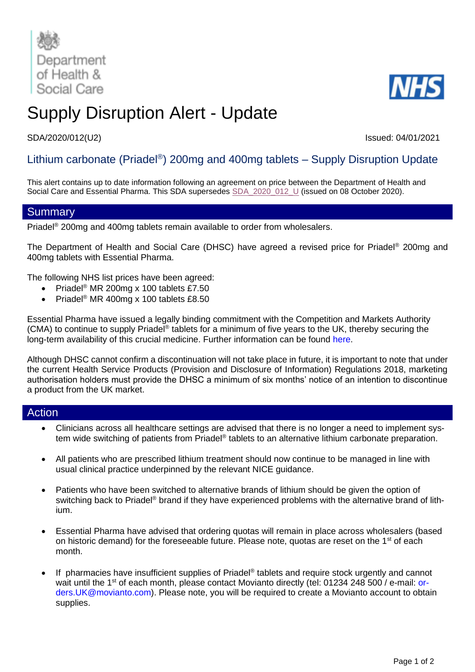



# Supply Disruption Alert - Update

## SDA/2020/012(U2) Issued: 04/01/2021

# Lithium carbonate (Priadel®) 200mg and 400mg tablets – Supply Disruption Update

This alert contains up to date information following an agreement on price between the Department of Health and Social Care and Essential Pharma. This SDA supersedes [SDA\\_2020\\_012\\_U](https://www.cas.mhra.gov.uk/ViewandAcknowledgment/ViewAlert.aspx?AlertID=103103) (issued on 08 October 2020).

## **Summary**

Priadel® 200mg and 400mg tablets remain available to order from wholesalers.

The Department of Health and Social Care (DHSC) have agreed a revised price for Priadel® 200mg and 400mg tablets with Essential Pharma.

The following NHS list prices have been agreed:

- Priadel<sup>®</sup> MR 200mg x 100 tablets £7.50
- Priadel<sup>®</sup> MR 400mg x 100 tablets £8.50

Essential Pharma have issued a legally binding commitment with the Competition and Markets Authority (CMA) to continue to supply Priadel<sup>®</sup> tablets for a minimum of five years to the UK, thereby securing the long-term availability of this crucial medicine. Further information can be found [here.](https://www.gov.uk/government/news/cma-secures-affordable-supply-of-key-bipolar-drug)

Although DHSC cannot confirm a discontinuation will not take place in future, it is important to note that under the current Health Service Products (Provision and Disclosure of Information) Regulations 2018, marketing authorisation holders must provide the DHSC a minimum of six months' notice of an intention to discontinue a product from the UK market.

### Action

- Clinicians across all healthcare settings are advised that there is no longer a need to implement system wide switching of patients from Priadel® tablets to an alternative lithium carbonate preparation.
- All patients who are prescribed lithium treatment should now continue to be managed in line with usual clinical practice underpinned by the relevant NICE guidance.
- Patients who have been switched to alternative brands of lithium should be given the option of switching back to Priadel<sup>®</sup> brand if they have experienced problems with the alternative brand of lithium.
- Essential Pharma have advised that ordering quotas will remain in place across wholesalers (based on historic demand) for the foreseeable future. Please note, quotas are reset on the 1<sup>st</sup> of each month.
- If pharmacies have insufficient supplies of Priadel<sup>®</sup> tablets and require stock urgently and cannot wait until the 1<sup>st</sup> of each month, please contact Movianto directly [\(tel: 01234](mailto:tel:%2001234) 248 500 / e-mail: [or](mailto:orders.UK@movianto.com)[ders.UK@movianto.com\)](mailto:orders.UK@movianto.com). Please note, you will be required to create a Movianto account to obtain supplies.